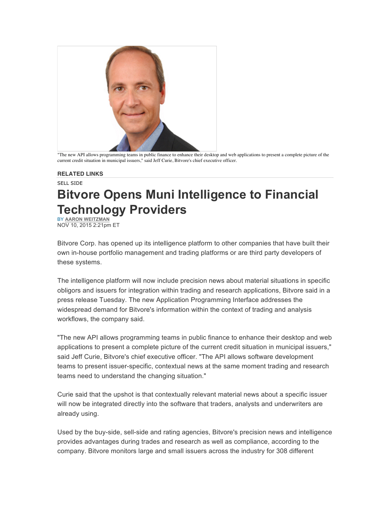

"The new API allows programming teams in public finance to enhance their desktop and web applications to present a complete picture of the current credit situation in municipal issuers," said Jeff Curie, Bitvore's chief executive officer.

## **RELATED LINKS**

## SELL SIDE

## **Bitvore Opens Muni Intelligence to Financial Technology Providers**

BY **AARON WEITZMAN** NOV 10, 2015 2:21pm ET

Bitvore Corp. has opened up its intelligence platform to other companies that have built their own in-house portfolio management and trading platforms or are third party developers of these systems.

The intelligence platform will now include precision news about material situations in specific obligors and issuers for integration within trading and research applications, Bitvore said in a press release Tuesday. The new Application Programming Interface addresses the widespread demand for Bitvore's information within the context of trading and analysis workflows, the company said.

"The new API allows programming teams in public finance to enhance their desktop and web applications to present a complete picture of the current credit situation in municipal issuers," said Jeff Curie, Bitvore's chief executive officer. "The API allows software development teams to present issuer-specific, contextual news at the same moment trading and research teams need to understand the changing situation."

Curie said that the upshot is that contextually relevant material news about a specific issuer will now be integrated directly into the software that traders, analysts and underwriters are already using.

Used by the buy-side, sell-side and rating agencies, Bitvore's precision news and intelligence provides advantages during trades and research as well as compliance, according to the company. Bitvore monitors large and small issuers across the industry for 308 different